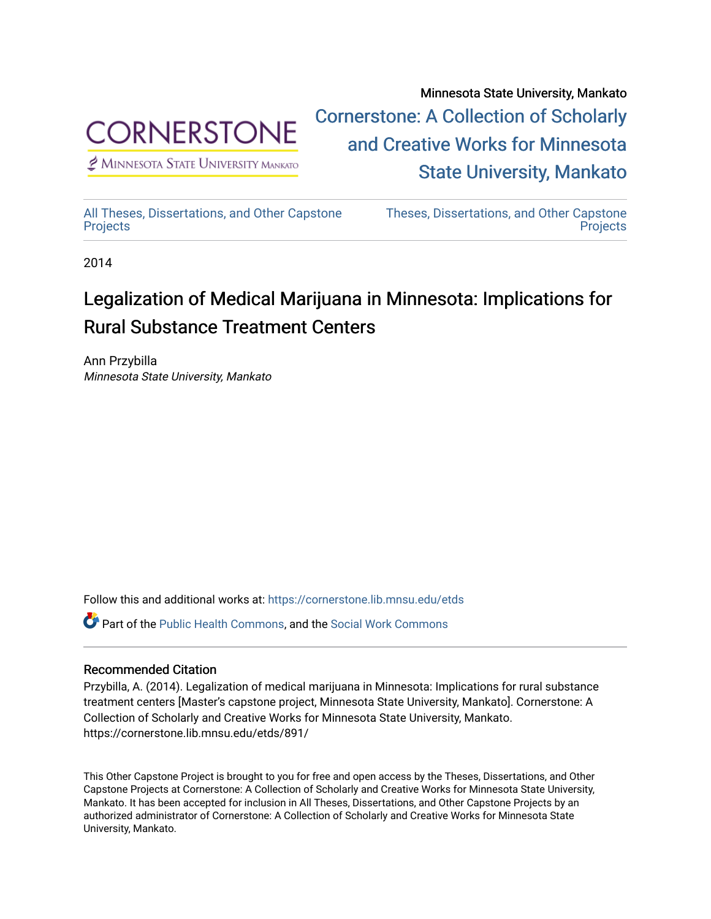

 $<sup>2</sup>$  Minnesota State University Mankato</sup>

Minnesota State University, Mankato [Cornerstone: A Collection of Scholarly](https://cornerstone.lib.mnsu.edu/)  [and Creative Works for Minnesota](https://cornerstone.lib.mnsu.edu/)  [State University, Mankato](https://cornerstone.lib.mnsu.edu/) 

[All Theses, Dissertations, and Other Capstone](https://cornerstone.lib.mnsu.edu/etds)  **[Projects](https://cornerstone.lib.mnsu.edu/etds)** 

[Theses, Dissertations, and Other Capstone](https://cornerstone.lib.mnsu.edu/theses_dissertations-capstone)  **Projects** 

2014

## Legalization of Medical Marijuana in Minnesota: Implications for Rural Substance Treatment Centers

Ann Przybilla Minnesota State University, Mankato

Follow this and additional works at: [https://cornerstone.lib.mnsu.edu/etds](https://cornerstone.lib.mnsu.edu/etds?utm_source=cornerstone.lib.mnsu.edu%2Fetds%2F891&utm_medium=PDF&utm_campaign=PDFCoverPages) 

Part of the [Public Health Commons,](http://network.bepress.com/hgg/discipline/738?utm_source=cornerstone.lib.mnsu.edu%2Fetds%2F891&utm_medium=PDF&utm_campaign=PDFCoverPages) and the [Social Work Commons](http://network.bepress.com/hgg/discipline/713?utm_source=cornerstone.lib.mnsu.edu%2Fetds%2F891&utm_medium=PDF&utm_campaign=PDFCoverPages)

## Recommended Citation

Przybilla, A. (2014). Legalization of medical marijuana in Minnesota: Implications for rural substance treatment centers [Master's capstone project, Minnesota State University, Mankato]. Cornerstone: A Collection of Scholarly and Creative Works for Minnesota State University, Mankato. https://cornerstone.lib.mnsu.edu/etds/891/

This Other Capstone Project is brought to you for free and open access by the Theses, Dissertations, and Other Capstone Projects at Cornerstone: A Collection of Scholarly and Creative Works for Minnesota State University, Mankato. It has been accepted for inclusion in All Theses, Dissertations, and Other Capstone Projects by an authorized administrator of Cornerstone: A Collection of Scholarly and Creative Works for Minnesota State University, Mankato.